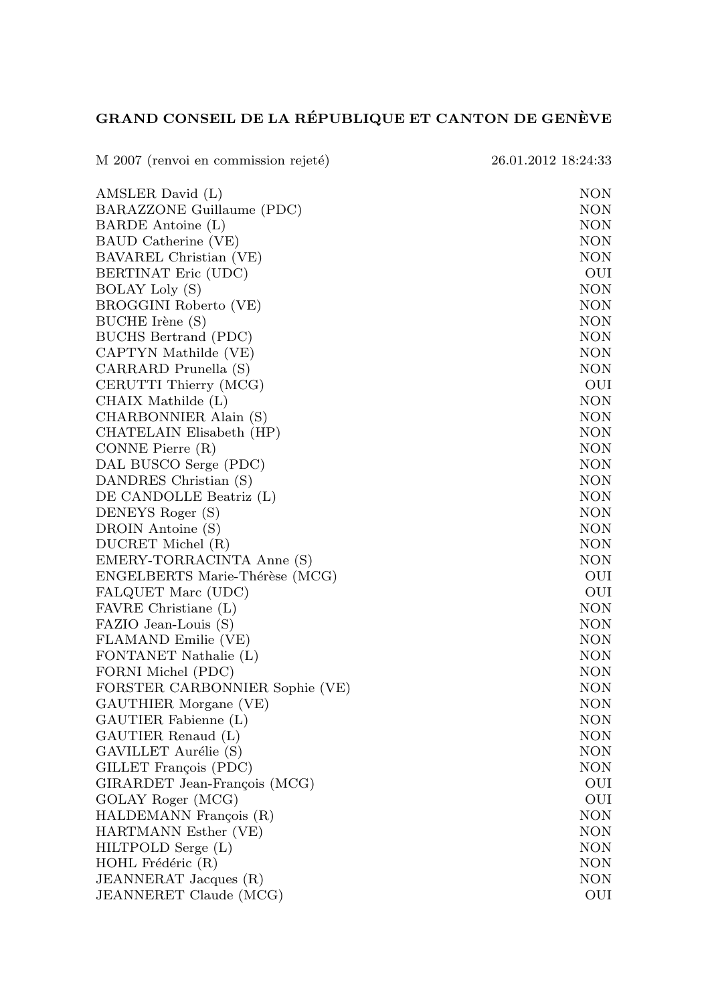## GRAND CONSEIL DE LA RÉPUBLIQUE ET CANTON DE GENÈVE

| M 2007 (renvoi en commission rejeté)       | 26.01.2012 18:24:33 |
|--------------------------------------------|---------------------|
| AMSLER David (L)                           | NON                 |
| BARAZZONE Guillaume (PDC)                  | NON                 |
| BARDE Antoine (L)                          | NON                 |
| BAUD Catherine (VE)                        | <b>NON</b>          |
| BAVAREL Christian (VE)                     | <b>NON</b>          |
| BERTINAT Eric (UDC)                        | OUI                 |
| BOLAY Loly (S)                             | <b>NON</b>          |
| BROGGINI Roberto (VE)                      | <b>NON</b>          |
| BUCHE Irène (S)                            | <b>NON</b>          |
| BUCHS Bertrand (PDC)                       | <b>NON</b>          |
| CAPTYN Mathilde (VE)                       | NON                 |
| CARRARD Prunella (S)                       | NON                 |
| CERUTTI Thierry (MCG)                      | OUI                 |
| CHAIX Mathilde (L)                         | <b>NON</b>          |
| CHARBONNIER Alain (S)                      | <b>NON</b>          |
| CHATELAIN Elisabeth (HP)                   | <b>NON</b>          |
| CONNE Pierre (R)                           | NON                 |
| DAL BUSCO Serge (PDC)                      | <b>NON</b>          |
| DANDRES Christian (S)                      | <b>NON</b>          |
| DE CANDOLLE Beatriz (L)                    | NON                 |
| DENEYS Roger (S)                           | NON                 |
| DROIN Antoine (S)                          | <b>NON</b>          |
| DUCRET Michel (R)                          | <b>NON</b>          |
| EMERY-TORRACINTA Anne (S)                  | <b>NON</b>          |
| ENGELBERTS Marie-Thérèse (MCG)             | OUI                 |
| FALQUET Marc (UDC)                         | OUI                 |
| FAVRE Christiane (L)                       | <b>NON</b>          |
| FAZIO Jean-Louis (S)                       | NON                 |
| FLAMAND Emilie (VE)                        | NON                 |
| FONTANET Nathalie (L)                      | <b>NON</b>          |
| FORNI Michel (PDC)                         | NON                 |
| FORSTER CARBONNIER Sophie (VE)             | <b>NON</b>          |
| GAUTHIER Morgane (VE)                      | NON                 |
| GAUTIER Fabienne (L)                       | NON                 |
| GAUTIER Renaud (L)                         | <b>NON</b>          |
| GAVILLET Aurélie (S)                       | <b>NON</b>          |
| GILLET François (PDC)                      | <b>NON</b><br>OUI   |
| GIRARDET Jean-François (MCG)               |                     |
| GOLAY Roger (MCG)                          | OUI                 |
| HALDEMANN François (R)                     | NON<br><b>NON</b>   |
| HARTMANN Esther (VE)<br>HILTPOLD Serge (L) | NON                 |
|                                            | <b>NON</b>          |
| HOHL Frédéric (R)<br>JEANNERAT Jacques (R) | NON                 |
|                                            |                     |
| JEANNERET Claude (MCG)                     | OUI                 |